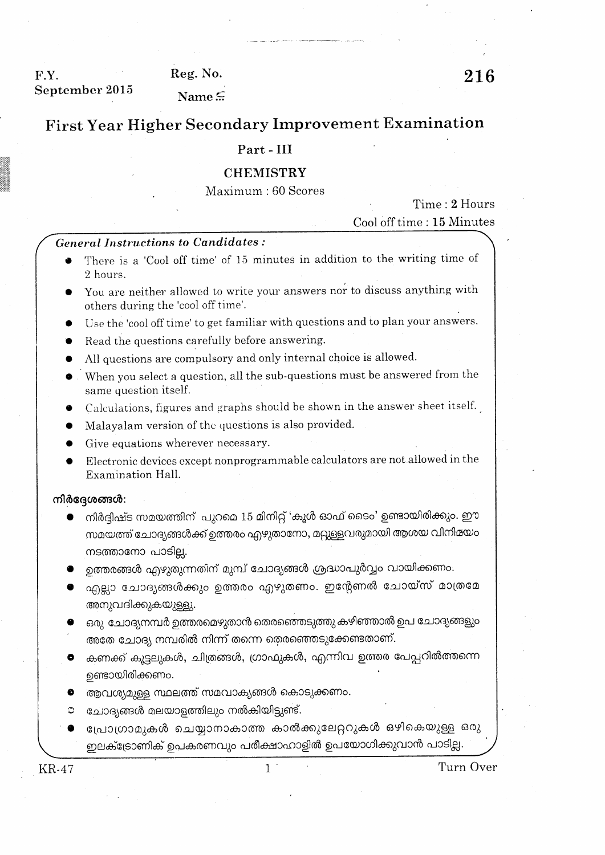F.Y. September 2015 Reg. No.

Name $\subseteq$ 

# Part - III

# **CHEMISTRY**

Maximum: 60 Scores

Time: 2 Hours

Cool off time: 15 Minutes

## **General Instructions to Candidates:**

- There is a 'Cool off time' of 15 minutes in addition to the writing time of 2 hours.
- You are neither allowed to write your answers nor to discuss anything with others during the 'cool off time'.
- Use the 'cool off time' to get familiar with questions and to plan your answers.
- Read the questions carefully before answering.
- All questions are compulsory and only internal choice is allowed.
- When you select a question, all the sub-questions must be answered from the same question itself.
- Calculations, figures and graphs should be shown in the answer sheet itself.
- Malayalam version of the questions is also provided.
- Give equations wherever necessary.
- Electronic devices except nonprogrammable calculators are not allowed in the Examination Hall.

### നിർദ്ദേശങ്ങൾ:

- നിർദ്ദിഷ്ട സമയത്തിന് പുറമെ 15 മിനിറ്റ് 'കൂൾ ഓഫ് ടൈം' ഉണ്ടായിരിക്കും. ഈ സമയത്ത് ചോദ്യങ്ങൾക്ക് ഉത്തരം എഴുതാനോ, മറ്റുള്ളവരുമായി ആശയ വിനിമയം നടത്താനോ പാടില്ല.
- ഉത്തരങ്ങൾ എഴുതുന്നതിന് മുമ്പ് ചോദ്യങ്ങൾ ശ്രദ്ധാപുർവ്വം വായിക്കണം.
- എല്ലാ ചോദ്യങ്ങൾക്കും ഉത്തരം എഴുതണം. ഇന്റേണൽ ചോയ്സ് മാത്രമേ അനുവദിക്കുകയുള്ളു.
- ഒരു ചോദ്യനമ്പർ ഉത്തരമെഴുതാൻ തെരഞ്ഞെടുത്തു കഴിഞ്ഞാൽ ഉപ ചോദ്യങ്ങളും അതേ ചോദ്യ നമ്പരിൽ നിന്ന് തന്നെ തെരഞ്ഞെടുക്കേണ്ടതാണ്.
- കണക്ക് കൂട്ടലുകൾ, ചിത്രങ്ങൾ, ഗ്രാഫുകൾ, എന്നിവ ഉത്തര പേപ്പറിൽത്തന്നെ ഉണ്ടായിരിക്കണം.
- ആവശ്യമുള്ള സ്ഥലത്ത് സമവാക്യങ്ങൾ കൊടുക്കണം.
- ചോദ്യങ്ങൾ മലയാളത്തിലും നൽകിയിട്ടുണ്ട്.  $\circ$
- പ്രോഗ്രാമുകൾ ചെയ്യാനാകാത്ത കാൽക്കുലേറ്ററുകൾ ഒഴികെയുള്ള ഒരു 0 ഇലക്ട്രോണിക് ഉപകരണവും പരീക്ഷാഹാളിൽ ഉപയോഗിക്കുവാൻ പാടില്ല.

**KR-47**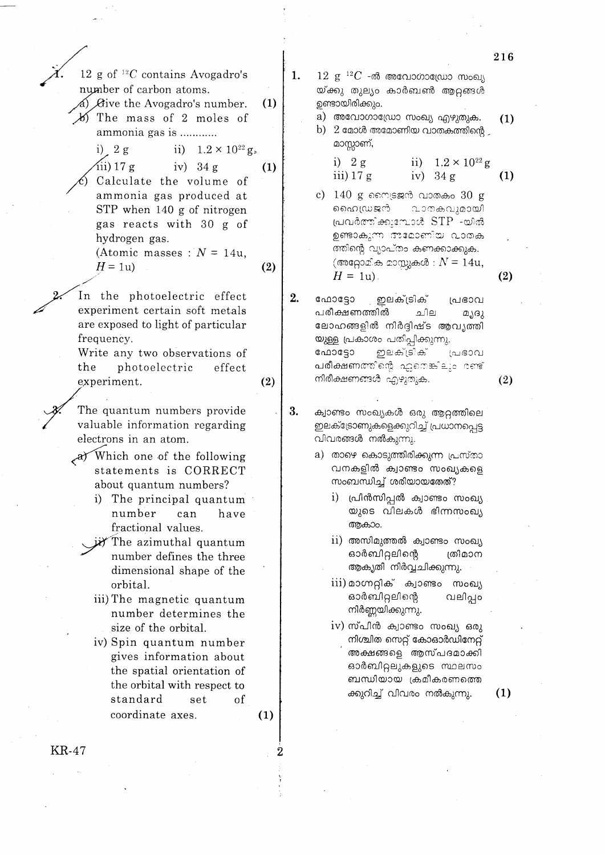|                   |                                                                                                                                                                                                                                                                                                                                                                                                                                                                                                                                                                                                 |            |    |                                                                                                                                                                                                                                                                                                                                                                                                                                                                                                                                                                                                                                           | 2 I D      |
|-------------------|-------------------------------------------------------------------------------------------------------------------------------------------------------------------------------------------------------------------------------------------------------------------------------------------------------------------------------------------------------------------------------------------------------------------------------------------------------------------------------------------------------------------------------------------------------------------------------------------------|------------|----|-------------------------------------------------------------------------------------------------------------------------------------------------------------------------------------------------------------------------------------------------------------------------------------------------------------------------------------------------------------------------------------------------------------------------------------------------------------------------------------------------------------------------------------------------------------------------------------------------------------------------------------------|------------|
|                   | 12 g of ${}^{12}C$ contains Avogadro's<br>number of carbon atoms.<br>a) $\beta$ ive the Avogadro's number.<br>$\cancel{b}$ The mass of 2 moles of<br>ammonia gas is<br>ii) $1.2 \times 10^{22}$ g<br>i) $2 g$<br>$\sin(17)$ g<br>iv) $34 g$<br>Calculate the volume of<br>ammonia gas produced at<br>STP when 140 g of nitrogen<br>gas reacts with 30 g of<br>hydrogen gas.                                                                                                                                                                                                                     | (1)<br>(1) | 1. | $12\,$ $\rm g^{-12}C$ -ൽ അവോഗാഡ്രോ സംഖ്യ<br>യ്ക്കു തുല്യം കാർബൺ ആറ്റങ്ങൾ<br>ഉണ്ടായിരിക്കും.<br>a) അവോഗാഡ്രോ സംഖ്യ എഴുതുക.<br>b) $2$ മോൾ അമോണിയ വാതകത്തിന്റെ $\overline{2}$<br>മാസ്സാണ്,<br>i) $2g$<br>ii) $1.2 \times 10^{22}$ g<br>iii) $17 g$<br>iv) $34 g$<br>$140$ g സൈട്രജൻ വാതകം $30$ g<br>C)<br>ഹൈഡ്രജൻ വാതകവുമായി<br>പ്രവർത്തിക്കുമ്പോൾ STP -യിൽ<br>ഉണ്ടാകുന്ന അമോണിയ വാതക<br>ത്തിന്റെ വ്യാപ്തം കണക്കാക്കുക.                                                                                                                                                                                                                      | (1)<br>(1) |
|                   | (Atomic masses : $N = 14u$ ,<br>$H = 1u$                                                                                                                                                                                                                                                                                                                                                                                                                                                                                                                                                        | (2)        |    | (അറ്റോമിക മാസ്സുകൾ : $N = 14u$ ,<br>$H = 1u$ .                                                                                                                                                                                                                                                                                                                                                                                                                                                                                                                                                                                            | (2)        |
| frequency.<br>the | In the photoelectric effect<br>experiment certain soft metals<br>are exposed to light of particular<br>Write any two observations of<br>photoelectric<br>effect<br>experiment.                                                                                                                                                                                                                                                                                                                                                                                                                  | (2)        | 2. | <sub>.</sub> ഇലക്ട്രിക്<br>ഫോട്ടോ<br>പ്രഭാവ<br>പരീക്ഷണത്തിൽ<br>ചില<br>മൃദു<br>ലോഹങ്ങളിൽ നിർദ്ദിഷ്ട ആവൃത്തി<br>യുള്ള പ്രകാശം പതിപ്പിക്കുന്നു.<br>ഇലക്ട്രിക്<br>ഫോട്ടോ<br>പ്രഭാവ<br>പരീക്ഷണത്തിന്റെ ഏതെങ്കിലും രണ്ട്<br>നിരീക്ഷണങ്ങൾ എഴുതുക.                                                                                                                                                                                                                                                                                                                                                                                                | (2)        |
|                   | The quantum numbers provide<br>valuable information regarding<br>electrons in an atom.<br>$\mathcal{A}$ Which one of the following<br>statements is CORRECT<br>about quantum numbers?<br>i) The principal quantum<br>number can have<br>fractional values.<br>The azimuthal quantum<br>number defines the three<br>dimensional shape of the<br>orbital.<br>iii) The magnetic quantum<br>number determines the<br>size of the orbital.<br>iv) Spin quantum number<br>gives information about<br>the spatial orientation of<br>the orbital with respect to<br>standard<br>set<br>coordinate axes. | οf<br>(1)  | 3. | ക്വാണ്ടം സംഖ്യകൾ ഒരു ആറ്റത്തിലെ<br>ഇലക്ട്രോണുകളെക്കുറിച്ച് പ്രധാനപ്പെട്ട<br>വിവരങ്ങൾ നൽകുന്നു.<br>a) താഴെ കൊടുത്തിരിക്കുന്ന പ്രസ്താ<br>വനകളിൽ ക്വാണ്ടം സംഖ്യകളെ<br>സംബന്ധിച്ച് ശരിയായതേത്?<br>i) പ്രിൻസിപ്പർ ക്വാണ്ടം സംഖ്യ<br>യുടെ വിലകൾ ഭിന്നസംഖ്യ<br>ആകാം.<br>$\overline{\text{ii}}$ ) അസിമുത്തൽ ക്വാണ്ടം സംഖ്യ<br>ഓർബിറ്റലിന്റെ<br>ത്രീമാന<br>ആകൃതി നിർവ്വചിക്കുന്നു.<br>iii) മാഗ്നറ്റിക് ക്വാണ്ടം<br>സംഖ്യ<br>ഓർബിറ്റലിന്റെ<br>വലിപ്പം<br>നിർണ്ണയിക്കുന്നു.<br>iv) സ്പിൻ ക്വാണ്ടം സംഖ്യ ഒരു<br>നിശ്ചിത സെറ്റ് കോഓർഡിനേറ്റ്<br>അക്ഷങ്ങളെ ആസ്പദമാക്കി<br>ഓർബിറ്റലുകളുടെ 'സ്ഥലസം<br>ബന്ധിയായ ക്രമീകരണത്തെ<br>ക്കുറിച്ച് വിവരം നൽകുന്നു. | (1)        |
| <b>KR-47</b>      |                                                                                                                                                                                                                                                                                                                                                                                                                                                                                                                                                                                                 |            |    |                                                                                                                                                                                                                                                                                                                                                                                                                                                                                                                                                                                                                                           |            |

ł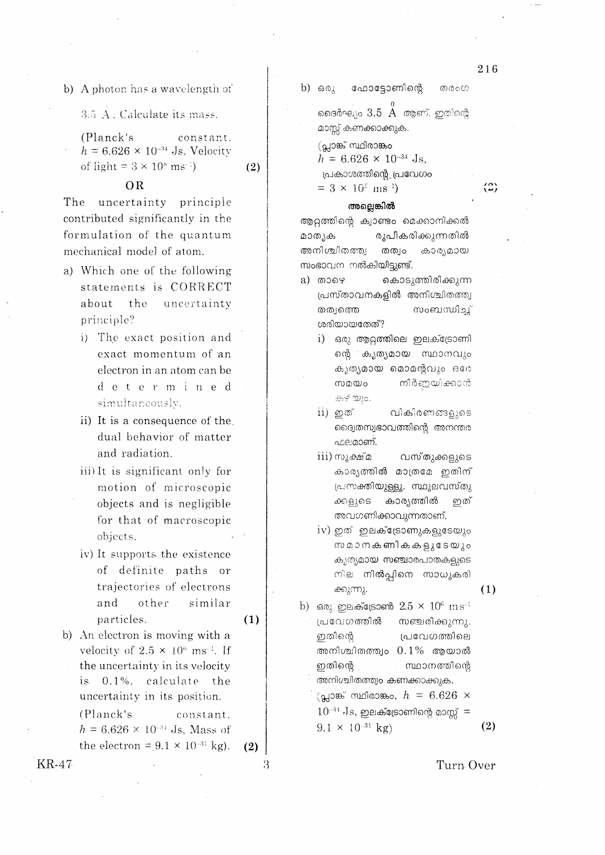- b) A photon has a wavelength of
	- 3.5 A. Calculate its mass.
	- (Planck's constant.  $h = 6.626 \times 10^{-34}$  Js. Velocity of light =  $3 \times 10^8$  ms<sup>-1</sup>)

#### **OR**

The uncertainty principle contributed significantly in the formulation of the quantum mechanical model of atom.

- a) Which one of the following statements is CORRECT about the uncertainty principle?
	- i) The exact position and exact momentum of an electron in an atom can be determined simultaneously.
	- ii) It is a consequence of the dual behavior of matter and radiation.
	- iii) It is significant only for motion of microscopic objects and is negligible for that of macroscopic objects.
	- iv) It supports the existence of definite paths or trajectories of electrons and other similar particles.
		- $(1)$

 $(2)$ 

b) An electron is moving with a velocity of  $2.5 \times 10^6$  ms<sup>-1</sup>. If the uncertainty in its velocity is 0.1%, calculate the uncertainty in its position.

(Planck's constant.  $h = 6.626 \times 10^{-34}$  Js, Mass of the electron =  $9.1 \times 10^{-31}$  kg). b)  $60\lambda$ ഫോട്ടോണിന്റെ തരംഗ

> ദൈർഘ്യം  $3.5\,$   $\rm \AA$  ആണ്. ഇതിന്റെ മാസ്സ് കണക്കാക്കുക.

(പ്ലാങ്ക് സ്ഥിരാങ്കം

 $h = 6.626 \times 10^{-34}$  Js. പ്രകാശത്തിന്റെ പ്രവേഗം

 $= 3 \times 10^{8}$  ms<sup>-1</sup>)

#### അലെങ്കിൽ

ആറ്റത്തിന്റെ ക്വാണ്ടം മെക്കാനിക്കൽ മാത്യക രൂപീകരിക്കുന്നതിൽ അനിശ്ചിതത്ത്വ തത്വം കാര്യമായ സംഭാവന നൽകിയിട്ടുണ്ട്.

- കൊടുത്തിരിക്കുന്ന a) താഴെ പ്രസ്താവനകളിൽ അനിശ്ചിതത്ത്വ തത്വത്തെ സംബന്ധിച്ച് ശരിയായതേത്?
	- i) ഒരു ആറ്റത്തിലെ ഇലക്ട്രോണി ന്റെ കൃത്യമായ സ്ഥാനവും കൃത്യമായ മൊമന്റവും ഒരേ സമയം നീർണ്ണയിക്കാൻ കഴിയും.
	- ii) ഇത് വികിരണങ്ങളുടെ ദ്വൈതസ്വഭാവത്തിന്റെ അനന്തര ഫലമാണ്.
	- iii) സൂക്ഷ്മ വസ്തുക്കളുടെ കാര്യത്തിൽ മാത്രമേ ഇതിന് പ്രസക്തിയുള്ളൂ. സ്ഥുലവസ്തു കാര്യത്തിൽ ക്കളുടെ ഇത് അവഗണിക്കാവുന്നതാണ്.
	- iv) ഇത് ഇലക്ട്രോണുകളുടേയും സമാനകണികകളുടേയും കൃത്യമായ സഞ്ചാരപാതകളുടെ നില നിൽപ്പിനെ സാധൂകരി ക്കുന്നു.

 $(1)$ 

b) ഒരു ഇലക്ട്രോൺ  $2.5 \times 10^6 \text{ m s}^{-1}$ പ്രവേഗത്തിൽ സഞ്ചരിക്കുന്നു. ഇതിന്റെ പ്രവേഗത്തിലെ അനിശ്ചിതത്ത്വം  $0.1\%$  ആയാൽ ഇതിന്റെ സ്ഥാനത്തിന്റെ അനിശ്ചിതത്ത്വം കണക്കാക്കുക.

(പ്ലാങ്ക് സ്ഥിരാങ്കം,  $h = 6.626 \times$  $10^{-34}$  Js, ഇലക്ട്രോണിന്റെ മാസ്സ് =

 $9.1 \times 10^{-31}$  kg)

 $(2)$ 

216

 $\binom{8}{4}$ 

**KR-47** 

Turn Over

 $(2)$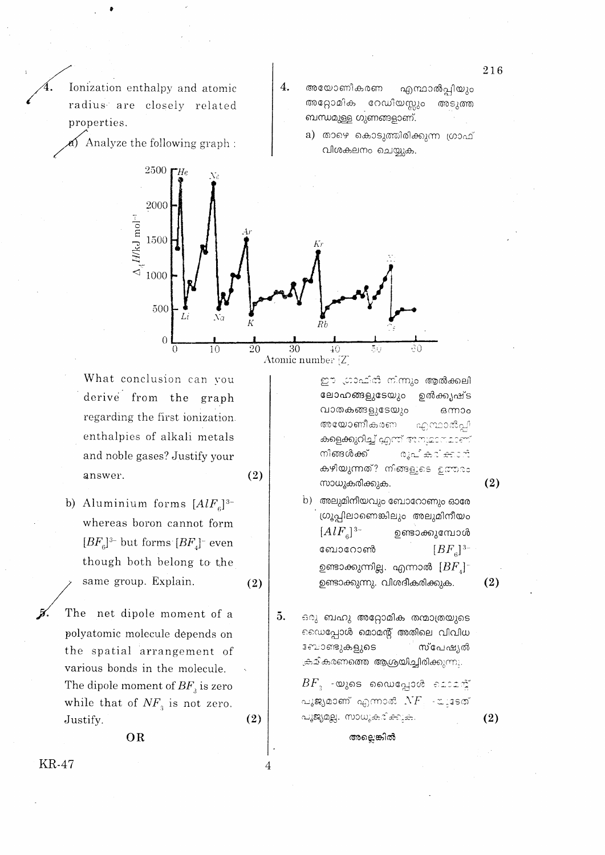Ionization enthalpy and atomic radius are closely related properties.

Analyze the following graph:

- അയോണീകരണ എന്ഥാൽപ്പിയും അറ്റോമിക റേഡിയസ്സും അടുത്ത ബന്ധമുള്ള ഗുണങ്ങളാണ്.
	- a) താഴെ കൊടുത്തിരിക്കുന്ന ഗ്രാഫ് വിശകലനം ചെയ്യുക.



 $\overline{4}$ .

Atomic number [Z]

 $(2)$ 

 $(2)$ 

 $(2)$ 

 $\overline{A}$ 

What conclusion can vou derive from the graph regarding the first ionization. enthalpies of alkali metals and noble gases? Justify your answer.

- b) Aluminium forms  $[AlF_{\scriptscriptstyle{6}}]^{3-}$ whereas boron cannot form  $[BF_c]$ <sup>3-</sup> but forms  $[BF_c]$ <sup>-</sup> even though both belong to the same group. Explain.
- The net dipole moment of a polyatomic molecule depends on the spatial arrangement of various bonds in the molecule. The dipole moment of  $BF_{\alpha}$  is zero while that of  $NF_{3}$  is not zero. Justify.

OR

ഈ ഗ്രാഫിരി നിന്നും ആൽക്കലി ലോഹങ്ങളുടേയും ഉൽക്കൃഷ്ട വാതകങ്ങളുടേയും ഒന്നാം അയോണീകരണ എന്ഥാൽപ്പി കളെക്കുറിച്ച് എന്ന് അനുമാബമാണ് നിങ്ങൾക്ക് രൂപികരിക്കാൻ കഴിയുന്നത്? നിങ്ങളുടെ ഉത്തരം സാധൂകരിക്കുക.

- b) അലുമിനീയവും ബോറോണും ഓരേ ഗ്രൂപ്പിലാണെങ്കിലും അലുമിനീയം  $[AlF_{\rm g}]^{3-}$ ഉണ്ടാക്കുമ്പോൾ ബോറോൺ  $[BF_{\rm g}]^{3-}$ ഉണ്ടാക്കുന്നില്ല. എന്നാൽ  $[BF_{\scriptscriptstyle A}]^{\scriptscriptstyle -}$ ഉണ്ടാക്കുന്നു. വിശദീകരിക്കുക.
- 5. ഒരു ബഹു അറ്റോമിക തന്മാത്രയുടെ െഡപ്പോൾ മൊമന്റ് അതിലെ വിവിധ ോണ്ടുകളുടെ സ്പേഷ്യൽ ക്ഷമികരണത്തെ ആശ്രയിച്ചിരിക്കുന്നു.

 $BF_{\pi}$  -യുടെ ഡൈപ്പോൾ മൊമന് പൂജ്യമാണ് എന്നാൽ  $NF$  - പുടേത് പൂജ്യമല്ല. സാധൂകരിക്കുക.

അല്ലെങ്കിൽ

216

**KR-47** 

 $(2)$ 

 $(2)$ 

 $(2)$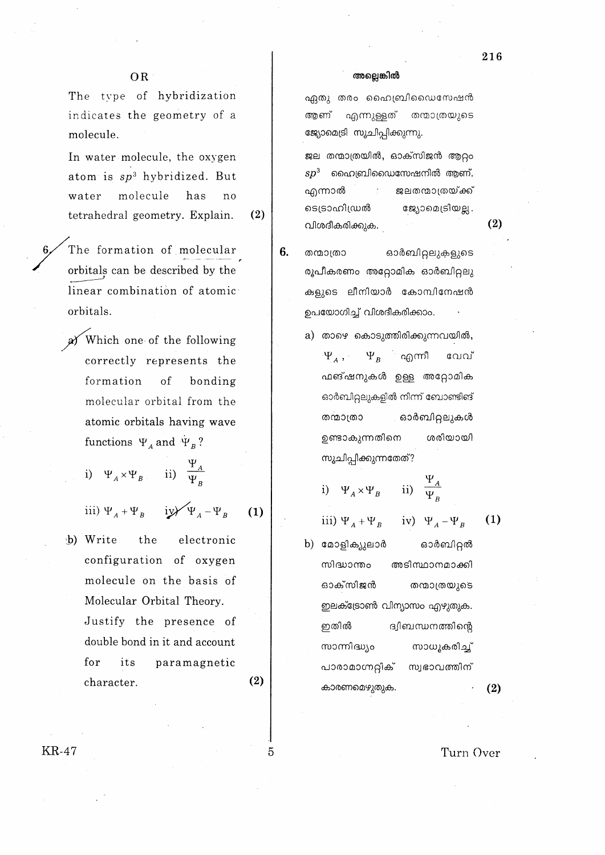$(2)$ 

The type of hybridization indicates the geometry of a molecule.

In water molecule, the oxygen atom is  $sp^3$  hybridized. But molecule has water no tetrahedral geometry. Explain.

 $(2)$ 

 $(1)$ 

The formation of molecular orbitals can be described by the linear combination of atomic orbitals.

a Which one of the following correctly represents the formation of bonding molecular orbital from the atomic orbitals having wave functions  $\Psi_A$  and  $\Psi_B$ ?

i)  $\Psi_A \times \Psi_B$  ii)  $\frac{\Psi_A}{\Psi_B}$ 

iii)  $\Psi_A + \Psi_B$  iy/ $\Psi_A - \Psi_B$ 

the b) Write electronic configuration of oxygen molecule on the basis of Molecular Orbital Theory. Justify the presence of double bond in it and account for its paramagnetic  $(2)$ character.

#### അല്ലെങ്കിൽ

ഏതു തരം ഹൈബ്രിഡൈസേഷൻ ആണ് എന്നുള്ളത് തന്മാത്രയുടെ ജ്യോമെട്രി സൂചിപ്പിക്കുന്നു.

ജല തന്മാത്രയിൽ, ഓക്സിജൻ ആറ്റം  $sp^3$  ൈഫ്രൈവിഡൈസേഷനിൽ ആണ്. എന്നാൽ ജലതന്മാത്രയ്ക്ക് ടെട്രാഹിഡ്രൽ ജ്യോമെട്രിയല്ല. വിശദീകരിക്കുക.

- 6. ഓർബിറ്റലുകളുടെ തന്മാത്രാ രൂപീകരണം അറ്റോമിക ഓർബിറ്റലു കളുടെ ലീനിയാർ കോമ്പിനേഷൻ ഉപയോഗിച്ച് വിശദീകരിക്കാം.
	- a) താഴെ കൊടുത്തിരിക്കുന്നവയിൽ,  $\Psi_{A}$  ,  $\Psi_{B}$  എന്നീ വേവ് ഫങ്ഷനുകൾ ഉള്ള അറ്റോമിക ഓർബിറ്റലുകളിൽ നിന്ന് ബോണ്ടിങ് തന്മാത്രാ ഓർബിറ്റലുകൾ ഉണ്ടാകുന്നതിനെ ശരിയായി സൂചിപ്പിക്കുന്നതേത്?

i) 
$$
\Psi_A \times \Psi_B
$$
 ii)  $\frac{\Psi_A}{\Psi_B}$ 

iii)  $\Psi_A + \Psi_B$  iv)  $\Psi_A - \Psi_B$ 

b) മോളിക്യുലാർ ഓർബിറ്റൽ സിദ്ധാന്തം അടിസ്ഥാനമാക്കി ഓക്സിജൻ തന്മാത്രയുടെ ഇലക്ട്രോൺ വിന്യാസം എഴുതുക. ഇതിൽ ദ്വിബന്ധനത്തിന്റെ സാന്നിദ്ധ്യം സാധൂകരിച്ച് പാരാമാഗ്നറ്റിക് സ്വഭാവത്തിന് കാരണമെഴുതുക.

 $(2)$ 

 $(1)$ 

Turn Over

5

**KR-47**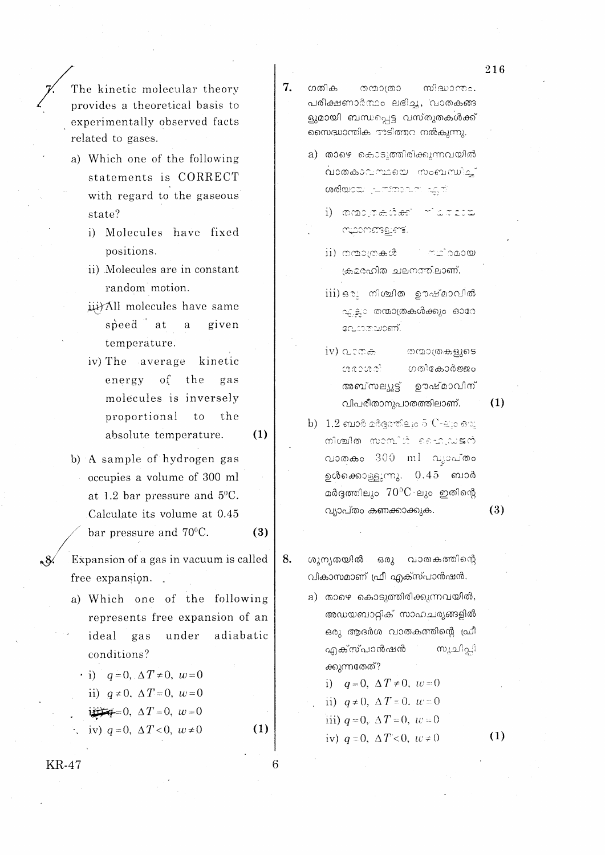The kinetic molecular theory provides a theoretical basis to experimentally observed facts related to gases.

- a) Which one of the following statements is CORRECT with regard to the gaseous state?
	- i) Molecules have fixed positions.
	- ii) Molecules are in constant random motion.
	- iii) All molecules have same speed at a given temperature.
	- iv) The average kinetic energy of the gas molecules is inversely proportional  $to$ the absolute temperature.

 $(1)$ 

 $(3)$ 

 $(1)$ 

6

- b) A sample of hydrogen gas occupies a volume of 300 ml at 1.2 bar pressure and  $5^{\circ}$ C. Calculate its volume at 0.45
	- bar pressure and 70°C.
- n 84 Expansion of a gas in vacuum is called free expansion.
	- a) Which one of the following represents free expansion of an adiabatic ideal gas under conditions?

 $\cdot$  i)  $q=0$ ,  $\Delta T \neq 0$ ,  $w=0$ ii)  $q \neq 0$ ,  $\Delta T = 0$ ,  $w = 0$  $\frac{1}{2}$  = 0,  $\Delta T = 0$ ,  $w = 0$ iv)  $q=0$ ,  $\Delta T < 0$ ,  $w \neq 0$ 

**KR-47** 

- 7. ഗതിക തന്മാത്രാ സിദ്ധാന്ത്രം. പരിക്ഷണാർത്ഥം ലഭിച്ച, വാരകങ്ങ ളുമായി ബന്ധപ്പെട്ട വസ്തുതകൾക്ക് സൈദ്ധാന്തിക അടിത്തറ നൽകുന്നു.
	- a) താഴെ കൊടുത്തിരിക്കുന്നവയിൽ വാതകാവസ്ഥയെ സംബന്ധിച്ച് ശരിയായ പ്രസ്താവന എത്
		- i) manganden foreto muometagiene.
		- ii) mmomma.co <u>നഥിരമായ</u> ക്രമരഹിത ചലനത്തിലാണ്.
		- iii) ഒരു നിശ്ചിത ഊഷ്മാവിൽ ഫ്ലൊ തന്മാത്രകൾക്കും ഓരേ പോതയാണ്.
		- $iv)$  areas തന്മാത്രകളുടെ ഗതികോർജ്ജം ഊഷ്മാവിന് അബ്സല്യൂട്ട് വിപരീതാനുപാതത്തിലാണ്.
- $(1)$
- b)  $1.2$  ബാർ മർദത്തിലും 5  $C$ -ലും ഒരു மின்றிக் விட்டிக்கு விடும் വാതകം 300 ml വുാപ്തം ഉൾക്കൊള്ളുന്നു. 0.45 ബാർ മർദ്ദത്തിലും  $70^{\circ}$ C-ലും ഇതിന്റെ വ്യാപ്തം കണക്കാക്കുക.
- $(3)$
- ഒരു 8. ശൂന്യതയിൽ വാതകത്തിന്റെ വികാസമാണ് ഫ്രീ എക്സ്പാൻഷൻ.
	- a) താഴെ കൊടുത്തിരിക്കുന്നവയിൽ, അഡയബാറ്റിക് സാഹചര്യങ്ങളിൽ ഒരു ആദർശ വാതകത്തിന്റെ ഫ്രീ എക്സ്പാൻഷൻ ്സുചിപ്പി ക്കുന്നതേത്?

i)  $q=0$ ,  $\Delta T \neq 0$ ,  $w=0$ ii)  $q \neq 0$ ,  $\Delta T = 0$ ,  $w = 0$ iii)  $q=0$ ,  $\Delta T=0$ ,  $w=0$ 

- iv)  $q=0$ ,  $\Delta T < 0$ ,  $w \neq 0$
- $(1)$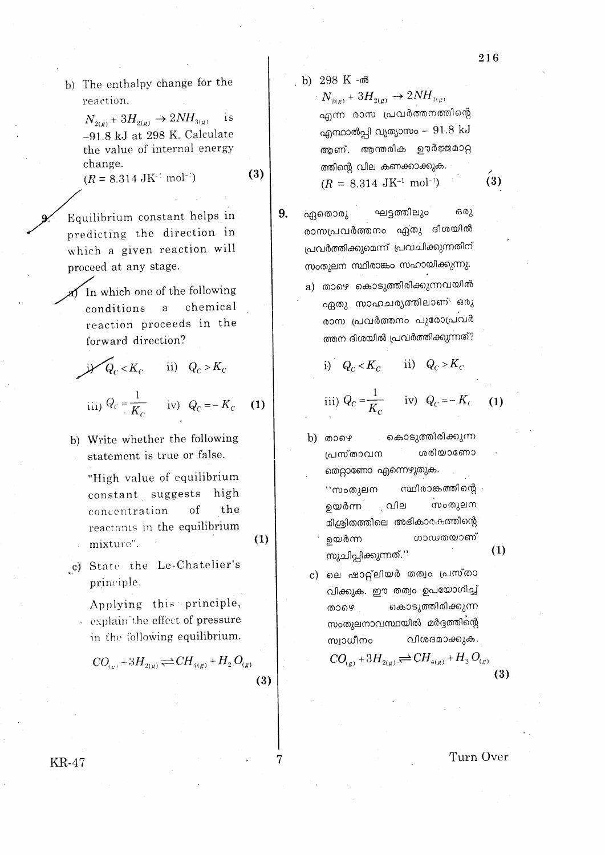b) The enthalpy change for the reaction.

> $N_{2(g)}+3H_{2(g)}\rightarrow 2NH_{3(g)}$ is  $-91.8$  kJ at 298 K. Calculate the value of internal energy change.

 $(R = 8.314 \text{ JK}^{-1} \text{ mol}^{-1})$ 

Equilibrium constant helps in predicting the direction in which a given reaction will proceed at any stage.

In which one of the following chemical  $\mathbf{a}$ conditions reaction proceeds in the forward direction?

$$
\mathcal{A}_c < K_c \qquad \text{ii)} \quad Q_c > K_c
$$

$$
\text{iii)}\ Q_{\text{C}} = \frac{1}{K_{\text{C}}} \qquad \text{iv)}\quad Q_{\text{C}} = -K_{\text{C}}
$$

b) Write whether the following statement is true or false.

> "High value of equilibrium constant suggests high the concentration of reactants in the equilibrium mixture".

c) State the Le-Chatelier's principle.

> Applying this principle, explain the effect of pressure in the following equilibrium.

 $\overline{CO}_{(c)} + 3H_{2(r)} \rightleftharpoons CH_{4(g)} + H_2 O_{(g)}$  $(3)$  b) 298 K -ൽ

 $(3)$ 

 $(1)$ 

 $(1)$ 

9.

 $N_{2(g)}$  +  $3H_{2(g)}$   $\rightarrow$   $2NH_{3(g)}$ എന്ന രാസ പ്രവർത്തനത്തിന്റെ എന്ഥാൽപ്പി വ്യത്യാസം  $91.8\ \mathrm{kJ}$ ആണ്. ആന്തരിക ഊർജ്ജമാറ്റ ത്തിന്റെ വില കണക്കാക്കുക.  $(R = 8.314 \text{ JK}^{-1} \text{ mol}^{-1})$ 

ഘട്ടത്തിലും ഒരു ഏതൊരു രാസപ്രവർത്തനം ഏ്തു ദിശയിൽ പ്രവർത്തിക്കുമെന്ന് പ്രവചിക്കുന്നതിന് സംതുലന സ്ഥിരാങ്കം സഹായിക്കുന്നു. a) താഴെ കൊടുത്തിരിക്കുന്നവയിൽ ഏതു സാഹചര്യത്തിലാണ് ഒരു രാസ പ്രവർത്തനം പുരോപ്രവർ ത്തന ദിശയിൽ പ്രവർത്തിക്കുന്നത്?

i) 
$$
Q_C < K_C
$$
 ii)  $Q_C > K_C$ 

iii) 
$$
Q_C = \frac{1}{K_C}
$$
 iv)  $Q_C = -K_C$  (1)

- കൊടുത്തിരിക്കുന്ന b) താഴെ ശരിയാണോ പ്രസ്താവന തെറ്റാണോ എന്നെഴുതുക. സ്ഥിരാങ്കത്തിന്റെ ''സംതുലന സംതുലന ഉയർന്ന ് വില മിശ്രിതത്തിലെ അഭികാരകത്തിന്റെ ഗാഢതയാണ് ഉയർന്ന
- c) ലെ ഷാറ്റ്ലിയർ തത്വം പ്രസ്താ വിക്കുക. ഈ തത്വം ഉപയോഗിച്ച് കൊടുത്തിരിക്കുന്ന താഴെ സംതുലനാവസ്ഥയിൽ മർദ്ദത്തിന്റെ വിശദമാക്കുക. സ്വാധീനം

സുചിപ്പിക്കുന്നത്.''

$$
CO_{(g)} + 3H_{2(g)} \rightleftharpoons CH_{4(g)} + H_2 \, \text{C}
$$

Turn Over

 $(1)$ 

 $(3)$ 

 $(3)$ 

**KR-47** 

7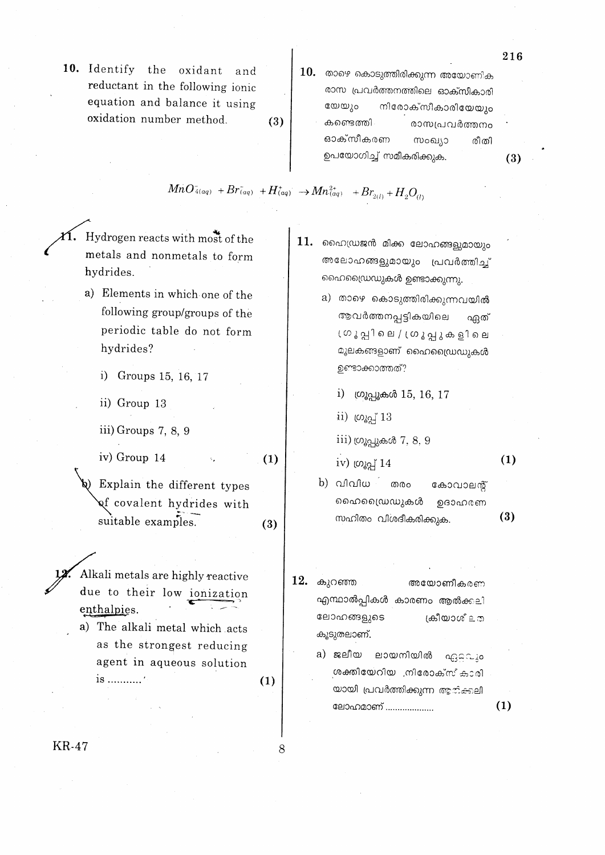- 10. Identify the oxidant and reductant in the following ionic equation and balance it using oxidation number method.  $(3)$
- $10.$  താഴെ കൊടുത്തിരിക്കുന്ന അയോണിക രാസ പ്രവർത്തനത്തിലെ ഓക്സീകാരി തേത്നം നിരോക്സീകാരിയേയും കണ്ടെത്തി രാസപ്രവർത്തനം ഓക്സീകരണ സംഖ്യാ രീതി ഉപയോഗിച്ച് സമീകരിക്കുക.

 $MnO_{4(aq)} + Br_{(aq)} + H_{(aq)}^+ \rightarrow Mn_{(aq)}^{2+} + Br_{2(l)} + H_2O_{(l)}$ 

Hydrogen reacts with most of the metals and nonmetals to form hydrides.

- a) Elements in which one of the following group/groups of the periodic table do not form hydrides?
	- i) Groups 15, 16, 17
	- ii) Group 13
	- iii) Groups  $7, 8, 9$

iv) Group 14  $(1)$ 

Explain the different types gf covalent hydrides with suitable examples.  $(3)$ 

- Alkali metals are highly reactive due to their low ionization enthalpies.
- a) The alkali metal which acts as the strongest reducing agent in aqueous solution is ............'
- $11.$  ഹൈഡ്രജൻ മിക്ക ലോഹങ്ങളുമായും അലോഹങ്ങളുമായും പ്രവർത്തിച് ഹൈഡ്രൈഡുകൾ ഉണ്ടാക്കുന്നു.
	- a) താഴെ കൊടുത്തിരിക്കുന്നവയിൽ ആവർത്തനപ്പട്ടികയിലെ ഏത് ്രൂ പ്ല കെ പ്രൂ പ്പു കളിലെ മൂലകങ്ങളാണ് ഹൈഡ്രൈഡുകൾ ഉണ്ടാക്കാത്തത്?
		- $i)$  ഗ്രൂപ്പൂകൾ  $15, 16, 17$
		- $\mathbf{ii}$ ) ( $\omega$  $\mathbf{a}$  $\mathbf{a}$  $\mathbf{b}$  $\mathbf{1}$  $\mathbf{3}$

iv) (020] 14

 $\overline{111}$ ) (ഗൂപ്പുകൾ 7, 8, 9

 $(1)$ 

 $(1)$ 

216

 $(3)$ 

- $b)$  വിവിധ $\sim$ തരം കോവാലന്റ് ഹൈഡ്രൈഡുകൾ றவைகளை  $(3)$ സഹിതം വിശദീകരിക്കുക.
- 12. കുറഞ്ഞ അയോണീകരണ എന്ഥാൽപ്പികൾ കാരണം ആൽക്കലി ലോഹങ്ങളുടെ ക്രീയാശ് ≘ ത കൂടുതലാണ്.
	- a) ജലീയ ലായനിയിൽ ഏറ്റവും ശക്തിയേറിയ നിരോക്സ് കാരി യായി പ്രവർത്തിക്കുന്ന ആരിക്കലി ലോഹമാണ് ...................

KR-47

8

 $(1)$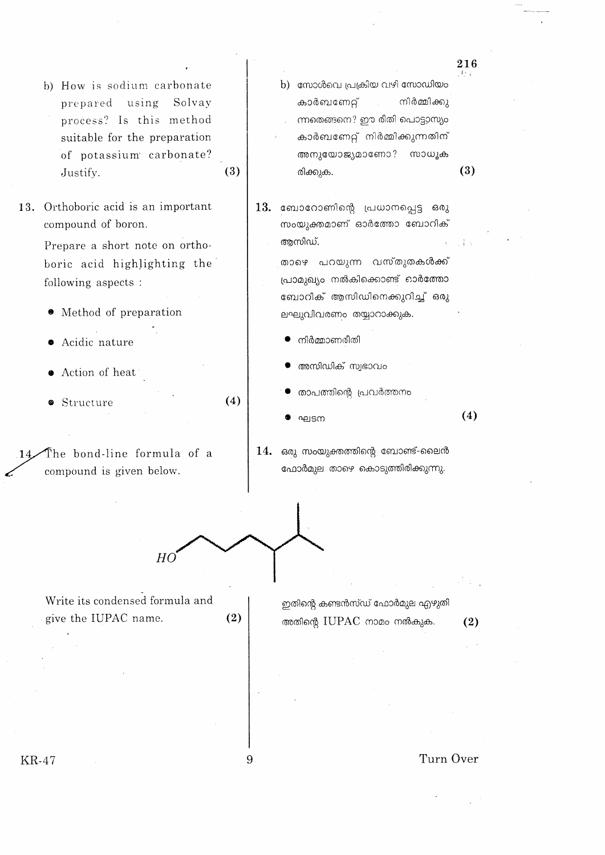- b) How is sodium carbonate prepared using Solvay process? Is this method suitable for the preparation of potassium carbonate? Justify.
- 13. Orthoboric acid is an important compound of boron.

Prepare a short note on orthoboric acid highlighting the following aspects :

- Method of preparation
- · Acidic nature
- Action of heat
- Structure

The bond-line formula of a compound is given below.

- b) സോൾവെ പ്രക്രിയ വഴി സോഡിയം കാർബണേറ്റ് നിർമ്മിക്കു ന്നതെങ്ങനെ? ഈ രീതി പൊട്ടാസ്യം കാർബണേറ്റ് നിർമ്മിക്കുന്നതിന് അനുയോജ്യമാണോ? സാധൂക രിക്കുക.
- $13.$  ബോറോണിന്റെ പ്രധാനപ്പെട്ട ഒരു .<br>സംയുക്തമാണ് ഓർത്തോ ബോറിക് അസിഡ്.

താഴെ പറയുന്ന വസ്തുതകൾക്ക് പ്രാമുഖ്യം നൽകിക്കൊണ്ട് ഓർത്തോ ബോറിക് ആസിഡിനെക്കുറിച്ച് ഒരു ലഘുവിവരണം തയ്യാറാക്കുക.

- നിർമ്മാണരീതി
- അസിഡിക് സ്വഭാവം
- താപത്തിന്റെ പ്രവർത്തനം
- ഘടന

 $\mathbf{i}$ 

 $(4)$ 

216

 $(3)$ 

14. ഒരു സംയുക്തത്തിന്റെ ബോണ്ട്-ലൈൻ ഫോർമുല താഴെ കൊടുത്തിരിക്കുന്നു.

$$
\text{H}_0\text{H}_0\text{H}_0\text{H}_0\text{H}_0\text{H}_0\text{H}_0\text{H}_0\text{H}_0\text{H}_0\text{H}_0\text{H}_0\text{H}_0\text{H}_0\text{H}_0\text{H}_0\text{H}_0\text{H}_0\text{H}_0\text{H}_0\text{H}_0\text{H}_0\text{H}_0\text{H}_0\text{H}_0\text{H}_0\text{H}_0\text{H}_0\text{H}_0\text{H}_0\text{H}_0\text{H}_0\text{H}_0\text{H}_0\text{H}_0\text{H}_0\text{H}_0\text{H}_0\text{H}_0\text{H}_0\text{H}_0\text{H}_0\text{H}_0\text{H}_0\text{H}_0\text{H}_0\text{H}_0\text{H}_0\text{H}_0\text{H}_0\text{H}_0\text{H}_0\text{H}_0\text{H}_0\text{H}_0\text{H}_0\text{H}_0\text{H}_0\text{H}_0\text{H}_0\text{H}_0\text{H}_0\text{H}_0\text{H}_0\text{H}_0\text{H}_0\text{H}_0\text{H}_0\text{H}_0\text{H}_0\text{H}_0\text{H}_0\text{H}_0\text{H}_0\text{H}_0\text{H}_0\text{H}_0\text{H}_0\text{H}_0\text{H}_0\text{H}_0\text{H}_0\text{H}_0\text{H}_0\text{H}_0\text{H}_0\text{H}_0\text{H}_0\text{H}_0\text{H}_0\text{H}_0\text{H}_0\text{H}_0\text{H}_0\text{H}_0\text{H}_0\text{H}_0\text{H}_0\text{H}_0\text{H}_0\text{H}_0\text{H}_0\text{H}_0\text{H}_0\text{H}_0\text{H}_0\text{H}_0\text{H}_0\text{H}_0\text{H}_0\text{H}_0\text{H}_0\text{H}_0\text{H}_0\text{H}_0\text{H}_0\text{H}_0\text{H}_0\text{H}_0\text{H}_0\text{H}_0\text{H}_0\text{H}_0\text{H}_0\text{H}_0\text{H}_0\text{H
$$

 $(2)$ 

 $(4)$ 

 $(3)$ 

Write its condensed formula and give the IUPAC name.

ഇതിന്റെ കണ്ടൻസ്ഡ് ഫോർമുല എഴുതി അതിന്റെ IUPAC നാമം നൽകുക.

 $(2)$ 

**KR-47** 

Q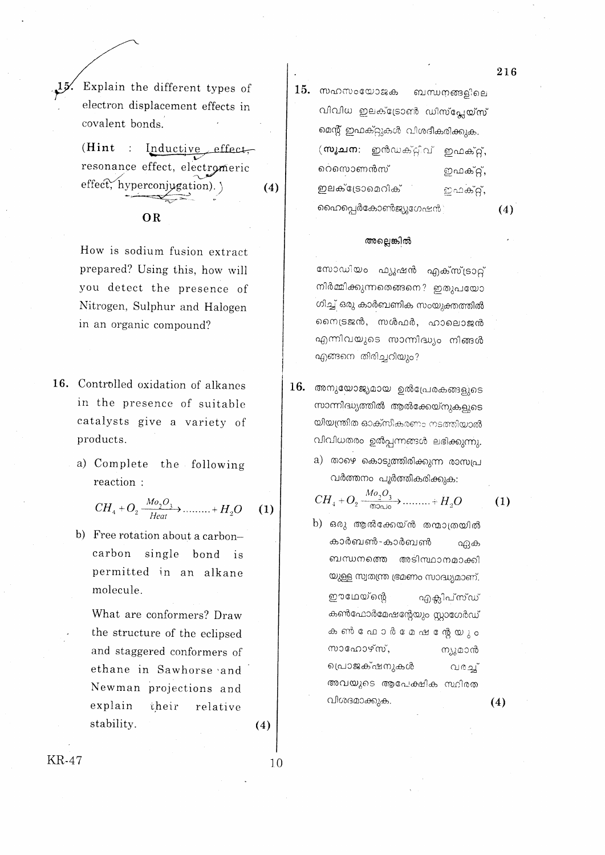Explain the different types of electron displacement effects in covalent bonds.

 $(Hint$  : Inductive effect, resonance effect, electromeric effect, hyperconjugation).  $(4)$ 

## **OR**

How is sodium fusion extract prepared? Using this, how will you detect the presence of Nitrogen, Sulphur and Halogen in an organic compound?

- 16. Controlled oxidation of alkanes in the presence of suitable catalysts give a variety of products.
	- a) Complete the following reaction:

$$
CH4 + O2 \xrightarrow{Mo2O3} Hext + H2O \qquad (1)
$$

b) Free rotation about a carboncarbon single bond is permitted in an alkane molecule.

What are conformers? Draw the structure of the eclipsed and staggered conformers of ethane in Sawhorse and Newman projections and explain their relative stability.

 $(4)$ 

 $10$ 

15. സഹസംയോജക ബന്ധനങ്ങളിലെ വിവിധ ഇലക്ട്രോൺ ഡിസ്പ്ലേയ്സ് മെന്റ് ഇഫക്റ്റുകൾ വിശദീകരിക്കുക. (ஸுவமை: ഇൻഡക്ട്ടീവ് ഇഫക്റ്റ്, റെസൊണൻസ് ഇഫക്റ്, ഇലക്ട്രോമെറിക് ഇഫക്റ്, ഹൈപ്പെർകോൺജ്യൂഗേഷൻ

 $(4)$ 

 $(1)$ 

 $(4)$ 

### അല്ലെങ്കിൽ

സോഡിയം ഫ്യൂഷൻ എക്സ്ട്രാറ്റ് നിർമ്മിക്കുന്നതെങ്ങനെ? ഇതുപയോ ഗിച്ച് ഒരു കാർബണിക സംയുക്തത്തിൽ നൈട്രജൻ, സൾഫർ, ഹാലൊജൻ എന്നിവയുടെ സാന്നിദ്ധ്യം നിങ്ങൾ എങ്ങനെ തിരിച്ചറിയും?

- $16.$  അനുയോജ്യമായ ഉൽപ്രേരകങ്ങളുടെ സാന്നിദ്ധ്യത്തിൽ ആൽക്കേയ്നുകളുടെ യിയന്ത്രിത ഓക്സീകരണം നടത്തിയാൽ വിവിധതരം ഉൽപ്പന്നങ്ങൾ ലഭിക്കുന്നു.
	- a) താഴെ കൊടുത്തിരിക്കുന്ന രാസപ്ര വർത്തനം പൂർത്തീകരിക്കുക:

$$
CH_4 + O_2 \xrightarrow{\text{Mo}_2O_3} \dots \dots \xrightarrow{H_2O}
$$

**KR-47** 

216